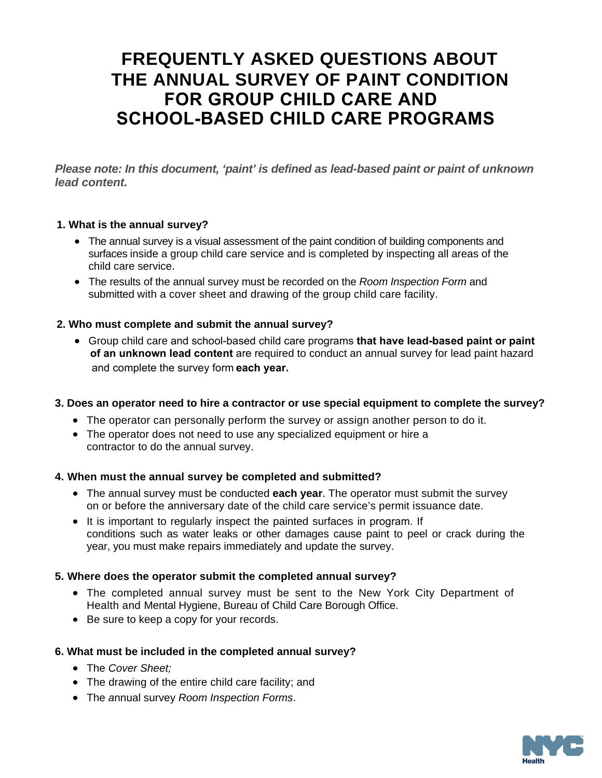# **FREQUENTLY ASKED QUESTIONS ABOUT THE ANNUAL SURVEY OF PAINT CONDITION FOR GROUP CHILD CARE AND SCHOOL-BASED CHILD CARE PROGRAMS**

*Please note: In this document, 'paint' is defined as lead-based paint or paint of unknown lead content.* 

### **1. What is the annual survey?**

- The annual survey is a visual assessment of the paint condition of building components and surfaces inside a group child care service and is completed by inspecting all areas of the child care service.
- The results of the annual survey must be recorded on the *Room Inspection Form* and submitted with a cover sheet and drawing of the group child care facility.

#### **2. Who must complete and submit the annual survey?**

 Group child care and school-based child care programs **that have lead-based paint or paint of an unknown lead content** are required to conduct an annual survey for lead paint hazard and complete the survey form **each year.**

#### **3. Does an operator need to hire a contractor or use special equipment to complete the survey?**

- The operator can personally perform the survey or assign another person to do it.
- The operator does not need to use any specialized equipment or hire a contractor to do the annual survey.

#### **4. When must the annual survey be completed and submitted?**

- The annual survey must be conducted **each year**. The operator must submit the survey on or before the anniversary date of the child care service's permit issuance date.
- It is important to regularly inspect the painted surfaces in program. If conditions such as water leaks or other damages cause paint to peel or crack during the year, you must make repairs immediately and update the survey.

#### **5. Where does the operator submit the completed annual survey?**

- The completed annual survey must be sent to the New York City Department of Health and Mental Hygiene, Bureau of Child Care Borough Office.
- Be sure to keep a copy for your records.

### **6. What must be included in the completed annual survey?**

- The *Cover Sheet;*
- The drawing of the entire child care facility; and
- The *a*nnual survey *Room Inspection Forms*.

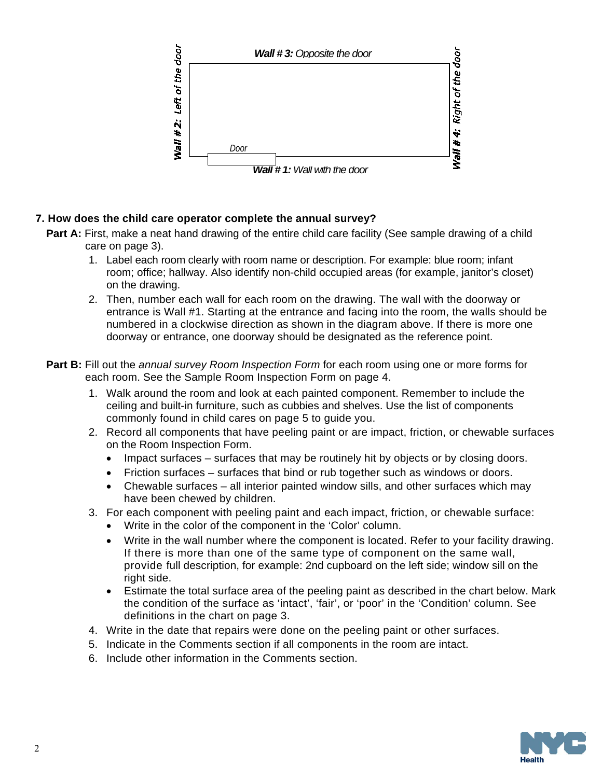

## **7. How does the child care operator complete the annual survey?**

- **Part A:** First, make a neat hand drawing of the entire child care facility (See sample drawing of a child care on page 3).
	- 1. Label each room clearly with room name or description. For example: blue room; infant room; office; hallway. Also identify non-child occupied areas (for example, janitor's closet) on the drawing.
	- 2. Then, number each wall for each room on the drawing. The wall with the doorway or entrance is Wall #1. Starting at the entrance and facing into the room, the walls should be numbered in a clockwise direction as shown in the diagram above. If there is more one doorway or entrance, one doorway should be designated as the reference point.
- **Part B:** Fill out the *annual survey Room Inspection Form* for each room using one or more forms for each room. See the Sample Room Inspection Form on page 4.
	- 1. Walk around the room and look at each painted component. Remember to include the ceiling and built-in furniture, such as cubbies and shelves. Use the list of components commonly found in child cares on page 5 to guide you.
	- 2. Record all components that have peeling paint or are impact, friction, or chewable surfaces on the Room Inspection Form.
		- Impact surfaces surfaces that may be routinely hit by objects or by closing doors.
		- Friction surfaces surfaces that bind or rub together such as windows or doors.
		- Chewable surfaces all interior painted window sills, and other surfaces which may have been chewed by children.
	- 3. For each component with peeling paint and each impact, friction, or chewable surface:
		- Write in the color of the component in the 'Color' column.
		- Write in the wall number where the component is located. Refer to your facility drawing. If there is more than one of the same type of component on the same wall, provide full description, for example: 2nd cupboard on the left side; window sill on the right side.
		- Estimate the total surface area of the peeling paint as described in the chart below. Mark the condition of the surface as 'intact', 'fair', or 'poor' in the 'Condition' column. See definitions in the chart on page 3.
	- 4. Write in the date that repairs were done on the peeling paint or other surfaces.
	- 5. Indicate in the Comments section if all components in the room are intact.
	- 6. Include other information in the Comments section.

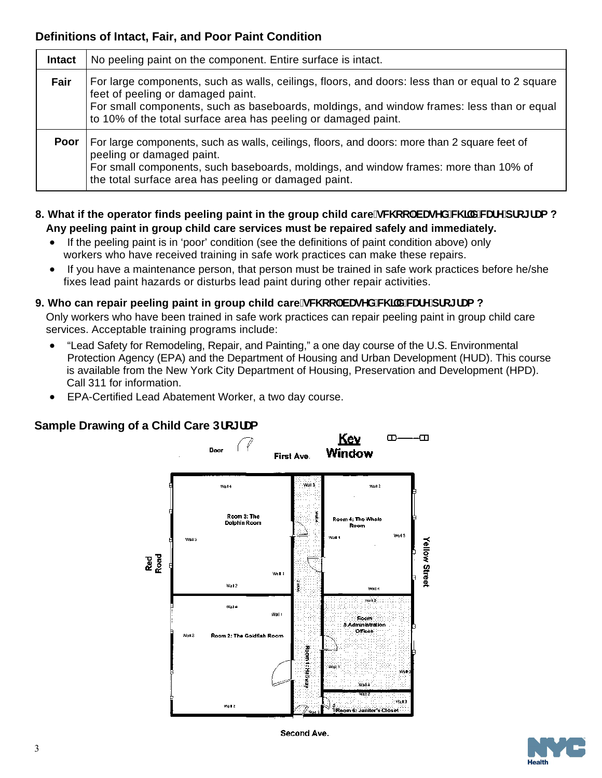# **Definitions of Intact, Fair, and Poor Paint Condition**

| <b>Intact</b> | No peeling paint on the component. Entire surface is intact.                                                                                                                                                                                                                                         |
|---------------|------------------------------------------------------------------------------------------------------------------------------------------------------------------------------------------------------------------------------------------------------------------------------------------------------|
| Fair          | For large components, such as walls, ceilings, floors, and doors: less than or equal to 2 square<br>feet of peeling or damaged paint.<br>For small components, such as baseboards, moldings, and window frames: less than or equal<br>to 10% of the total surface area has peeling or damaged paint. |
| Poor          | For large components, such as walls, ceilings, floors, and doors: more than 2 square feet of<br>peeling or damaged paint.<br>For small components, such baseboards, moldings, and window frames: more than 10% of<br>the total surface area has peeling or damaged paint.                            |

- 8. What if the operator finds peeling paint in the group child care#JW cc'!VUgYX'W J'X'WUFY'dfc[fUa? **Any peeling paint in group child care services must be repaired safely and immediately.** 
	- If the peeling paint is in 'poor' condition (see the definitions of paint condition above) only workers who have received training in safe work practices can make these repairs.
	- If you have a maintenance person, that person must be trained in safe work practices before he/she fixes lead paint hazards or disturbs lead paint during other repair activities.

# 9. Who can repair peeling paint in group child care#JW cc`!VUgYX'W J`X'WUFY'dfc[fUa?

Only workers who have been trained in safe work practices can repair peeling paint in group child care services. Acceptable training programs include:

- "Lead Safety for Remodeling, Repair, and Painting," a one day course of the U.S. Environmental Protection Agency (EPA) and the Department of Housing and Urban Development (HUD). This course is available from the New York City Department of Housing, Preservation and Development (HPD). Call 311 for information.
- EPA-Certified Lead Abatement Worker, a two day course.

# **Sample Drawing of a Child Care Dfc[fla**



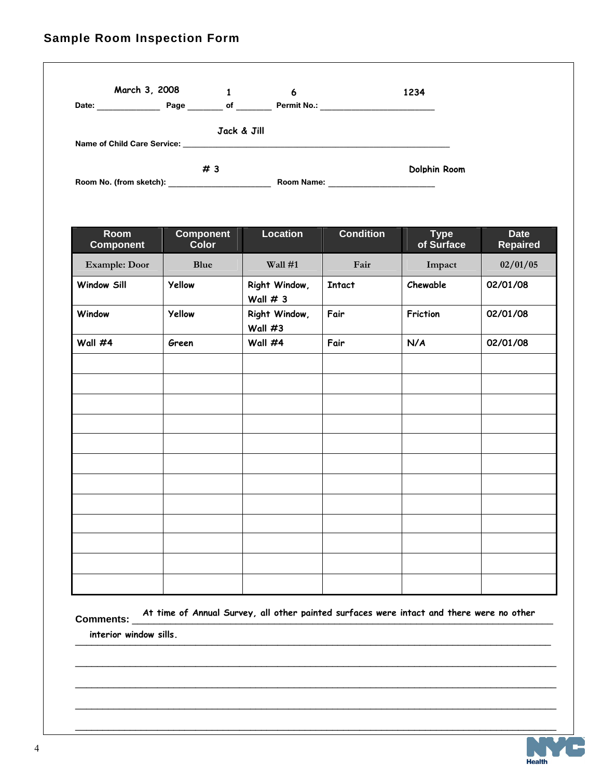# **Sample Room Inspection Form**

|                                    | March 3, 2008           |             | 6                  | 1234         |
|------------------------------------|-------------------------|-------------|--------------------|--------------|
| Date:                              | Page                    | of          | <b>Permit No.:</b> |              |
|                                    |                         | Jack & Jill |                    |              |
| <b>Name of Child Care Service:</b> |                         |             |                    |              |
|                                    |                         | #3          |                    | Dolphin Room |
|                                    | Room No. (from sketch): |             | <b>Room Name:</b>  |              |

| Room<br><b>Component</b> | <b>Component</b><br><b>Color</b> | <b>Location</b>             | <b>Condition</b> | <b>Type</b><br>of Surface | <b>Date</b><br><b>Repaired</b> |
|--------------------------|----------------------------------|-----------------------------|------------------|---------------------------|--------------------------------|
| <b>Example: Door</b>     | <b>Blue</b>                      | Wall #1                     | Fair             | Impact                    | 02/01/05                       |
| <b>Window Sill</b>       | <b>Yellow</b>                    | Right Window,<br>Wall $# 3$ | <b>Intact</b>    | Chewable                  | 02/01/08                       |
| Window                   | Yellow                           | Right Window,<br>Wall $#3$  | Fair             | Friction                  | 02/01/08                       |
| Wall #4                  | Green                            | Wall #4                     | Fair             | N/A                       | 02/01/08                       |
|                          |                                  |                             |                  |                           |                                |
|                          |                                  |                             |                  |                           |                                |
|                          |                                  |                             |                  |                           |                                |
|                          |                                  |                             |                  |                           |                                |
|                          |                                  |                             |                  |                           |                                |
|                          |                                  |                             |                  |                           |                                |
|                          |                                  |                             |                  |                           |                                |
|                          |                                  |                             |                  |                           |                                |
|                          |                                  |                             |                  |                           |                                |
|                          |                                  |                             |                  |                           |                                |
|                          |                                  |                             |                  |                           |                                |
|                          |                                  |                             |                  |                           |                                |

**Comments:** \_\_\_\_\_\_\_\_\_\_\_\_\_\_\_\_\_\_\_\_\_\_\_\_\_\_\_\_\_\_\_\_\_\_\_\_\_\_\_\_\_\_\_\_\_\_\_\_\_\_\_\_\_\_\_\_\_\_\_\_\_\_\_\_\_\_\_\_\_\_\_\_\_\_\_\_\_ **At time of Annual Survey, all other painted surfaces were intact and there were no other**   $\blacksquare$   $\blacksquare$   $\blacksquare$   $\blacksquare$   $\blacksquare$   $\blacksquare$   $\blacksquare$   $\blacksquare$   $\blacksquare$   $\blacksquare$   $\blacksquare$   $\blacksquare$   $\blacksquare$   $\blacksquare$   $\blacksquare$   $\blacksquare$   $\blacksquare$   $\blacksquare$   $\blacksquare$   $\blacksquare$   $\blacksquare$   $\blacksquare$   $\blacksquare$   $\blacksquare$   $\blacksquare$   $\blacksquare$   $\blacksquare$   $\blacksquare$   $\blacksquare$   $\blacksquare$   $\blacksquare$   $\blacks$ **interior window sills.** 

\_\_\_\_\_\_\_\_\_\_\_\_\_\_\_\_\_\_\_\_\_\_\_\_\_\_\_\_\_\_\_\_\_\_\_\_\_\_\_\_\_\_\_\_\_\_\_\_\_\_\_\_\_\_\_\_\_\_\_\_\_\_\_\_\_\_\_\_\_\_\_\_\_\_\_\_\_\_\_\_\_\_\_\_\_\_\_\_

\_\_\_\_\_\_\_\_\_\_\_\_\_\_\_\_\_\_\_\_\_\_\_\_\_\_\_\_\_\_\_\_\_\_\_\_\_\_\_\_\_\_\_\_\_\_\_\_\_\_\_\_\_\_\_\_\_\_\_\_\_\_\_\_\_\_\_\_\_\_\_\_\_\_\_\_\_\_\_\_\_\_\_\_\_\_\_\_

\_\_\_\_\_\_\_\_\_\_\_\_\_\_\_\_\_\_\_\_\_\_\_\_\_\_\_\_\_\_\_\_\_\_\_\_\_\_\_\_\_\_\_\_\_\_\_\_\_\_\_\_\_\_\_\_\_\_\_\_\_\_\_\_\_\_\_\_\_\_\_\_\_\_\_\_\_\_\_\_\_\_\_\_\_\_\_\_

\_\_\_\_\_\_\_\_\_\_\_\_\_\_\_\_\_\_\_\_\_\_\_\_\_\_\_\_\_\_\_\_\_\_\_\_\_\_\_\_\_\_\_\_\_\_\_\_\_\_\_\_\_\_\_\_\_\_\_\_\_\_\_\_\_\_\_\_\_\_\_\_\_\_\_\_\_\_\_\_\_\_\_\_\_\_\_\_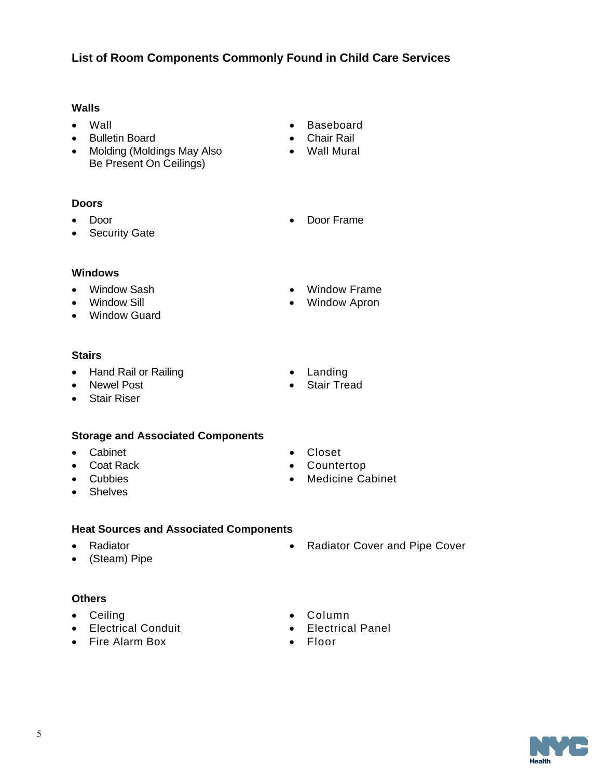5

# **List of Room Components Commonly Found in Child Care Services**

### **Walls**

- Wall
- Bulletin Board
- Molding (Moldings May Also Be Present On Ceilings)

# **Doors**

- Door
- Security Gate
- Baseboard
- Chair Rail
- Wall Mural
- Door Frame

 Window Frame Window Apron

## **Windows**

- Window Sash
- Window Sill
- Window Guard

## **Stairs**

- Hand Rail or Railing
- Newel Post
- Stair Riser

# **Storage and Associated Components**

- Cabinet
- Coat Rack
- Cubbies
- Shelves

## **Heat Sources and Associated Components**

- Radiator
- (Steam) Pipe

## **Others**

- Ceiling
- Electrical Conduit
- Fire Alarm Box

 Closet Countertop

• Landing • Stair Tread

- Medicine Cabinet
- Radiator Cover and Pipe Cover
- Column
- Electrical Panel
- Floor

**Health**